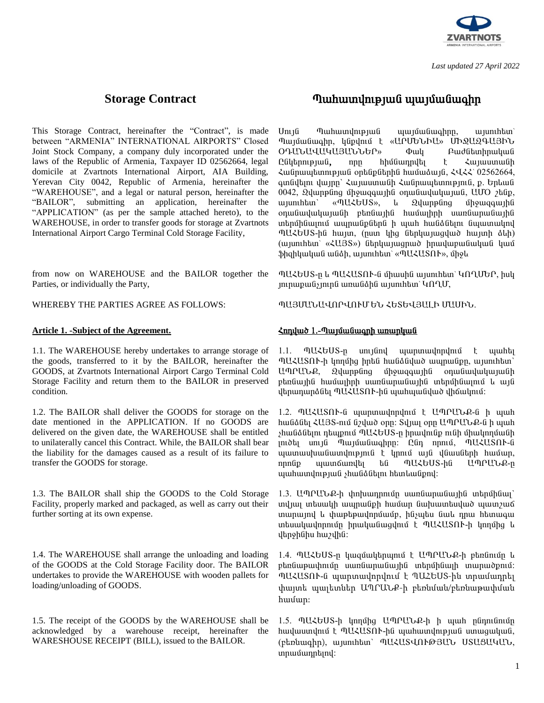

*Last updated 27 April 2022* 

This Storage Contract, hereinafter the "Contract", is made between "ARMENIA" INTERNATIONAL AIRPORTS" Closed Joint Stock Company, a company duly incorporated under the laws of the Republic of Armenia, Taxpayer ID 02562664, legal domicile at Zvartnots International Airport, AIA Building, Yerevan City 0042, Republic of Armenia, hereinafter the "WAREHOUSE", and a legal or natural person, hereinafter the "BAILOR", submitting an application, hereinafter the "APPLICATION" (as per the sample attached hereto), to the WAREHOUSE, in order to transfer goods for storage at Zvartnots International Airport Cargo Terminal Cold Storage Facility,

from now on WAREHOUSE and the BAILOR together the Parties, or individually the Party,

WHEREBY THE PARTIES AGREE AS FOLLOWS:

### <u>Article 1. -Subject of the Agreement.</u> Δειτερίες διαφθείς διαφθείς διαφθείς διαφθείς διαφθείς διαφθείς διαφθείς δια

1.1. The WAREHOUSE hereby undertakes to arrange storage of the goods, transferred to it by the BAILOR, hereinafter the GOODS, at Zvartnots International Airport Cargo Terminal Cold Storage Facility and return them to the BAILOR in preserved condition.

1.2. The BAILOR shall deliver the GOODS for storage on the date mentioned in the APPLICATION. If no GOODS are delivered on the given date, the WAREHOUSE shall be entitled to unilaterally cancel this Contract. While, the BAILOR shall bear the liability for the damages caused as a result of its failure to transfer the GOODS for storage.

1.3. The BAILOR shall ship the GOODS to the Cold Storage Facility, properly marked and packaged, as well as carry out their further sorting at its own expense.

1.4. The WAREHOUSE shall arrange the unloading and loading of the GOODS at the Cold Storage Facility door. The BAILOR undertakes to provide the WAREHOUSE with wooden pallets for loading/unloading of GOODS.

1.5. The receipt of the GOODS by the WAREHOUSE shall be acknowledged by a warehouse receipt, hereinafter the WARESHOUSE RECEIPT (BILL), issued to the BAILOR.

## **Storage Contract** ä³Ñ³ïíáõÃÛ³Ý å³Ûٳݳ·Çñ

Uny i Tuhuundun ali ungun kudu mashan Պայմանագիր, կնքվում է «ԱՐՄԵՆԻԱ» ՄԻՋԱԶԳԱՅԻՆ<br>ՕԴԱՆԱՎԱԿԱՅԱՆՆԵՐ» Փակ Բաժնետիրական 0^^^{U`bUQUQUQU`bU`bO^}w ^^ <u>C</u>նկերության, որը հիմնադրվել է Հայաստանի  $\lambda$ wūnwwwtunntpjwū ontūpūtnhū hwǔwǎwjū,  $\lambda$ U $\lambda$ <sup>2</sup> 02562664,  $q$ ın ildin yun biriyi  $\lambda$ un yun biriyin  $\lambda$  mun birin birin pin il, p. birin birin birin birin birin birin birin birin birin birin birin birin birin birin birin birin birin birin birin birin birin birin birin birin bir  $0042$ ,  $2$ վարթնոց միջացգային օդանավակայան, UUO  $\lambda$ ենք, uijunihan` «MUZGUS», u Quuppung upguqquipu  $o$ դանավակայանի բեռնային համայիրի սառնարանային in thun an in muning bajar barin kun bahar kulan kulan kulan kulan kulan kulan kulan kulan kulan kulan kulan k ՊԱՀԵՍՏ-ին hայտ, (ըստ կից ներկայացված hայտի ձևի) (www.htm<sup>oxel</sup>U3S») ներկայացրած իրավաբանական կամ  $\phi$ hqhywywG wGah, wyunthtun` «MUZUSNI», ungl

ՊԱՀԵՄՏ-ը և ՊԱՀԱՏՈՒ-ն միասին այսուհետ՝ ԿՈՂՄԵՐ, իսկ  $\lim_{\delta} \lim_{\delta} \lim_{\delta} \lim_{\delta} \lim_{\delta} \lim_{\delta} \lim_{\delta} \lim_{\delta} \lim_{\delta} \lim_{\delta} \lim_{\delta} \lim_{\delta} \lim_{\delta} \lim_{\delta} \lim_{\delta} \lim_{\delta} \lim_{\delta} \lim_{\delta} \lim_{\delta} \lim_{\delta} \lim_{\delta} \lim_{\delta} \lim_{\delta} \lim_{\delta} \lim_{\delta} \lim_{\delta} \lim_{\delta} \lim_{\delta} \lim_{\delta} \lim_{\delta} \lim_{\delta} \lim_{\delta} \lim_{\delta} \lim_{\delta} \lim_{\delta} \lim_{\delta} \lim_{\$ 

ՊԱՅՄԱՆԱՎՈՐՎՈՒՄ ԵՆ ՀԵՏԵՎՅԱԼԻ ՄԱՍԻՆ.

1.1. MUZGUS-n unt fünd ujun mudnnund t ujuhti **ՊԱՀԱՏՈՒ-ի կողմից իրեն hանձնված ապրանքը, այսուհետ**` UՊՐԱՆՔ, Զվարթնոց միջազգային օդանավակայանի բեռնային համայիրի սառնարանային տերմինայում և այն վերադարձնել ՊԱՀԱՏՈՒ-ին պահպանված վիճակում:

1.2. MUZUSNI-G wwnwwydnunun t UMPUGR-G h wwh hանձնել ՀU3S-ում նշված օրը: Տվյալ օրը UՊՐUՆՔ-ն ի պահ yhwնåնելու դեպքում ՊԱՀԵՍՏ-ը իրավունք ունի միակողմանի meth ung Tugungunghan: Can namu, TUZUSAF-G ujuunuu u u u u u u na pind t ynnu wy i yn u yn huwyn, nnnնp պատճառվել են ՊԱՀԵՍՏ-ին ԱՊՐԱՆՔ-ը ww.hwundntpjwG shwGaGhint htmlwGpnd:

1.3. ԱՊՐԱՆՔ-ի փոխադրումը սառնարանային տերմինալ` induu untuudh wunuu iph huu un tuhuuntudud wunzu iningu nu la inapha dina dia haisungan dina mana hai dina dina dina dina dina hai dina dina hai dina dina hai untuuluulnnnun hnuluuluuqlnu t MUZUSNI-h lnnung l dhnohuhu hwadhu:

1.4. ՊԱՀԵՍՏ-ը կազմակերպում է ԱՊՐԱՆՔ-ի բեռնումը և pեոնաթափումը սառնարանային տերմինայի տարածքում: ՊԱՀԱՏՈՒ-ն պարտավորվում է ՊԱՀԵՍՏ-ին տրամադրել փայտե պալետներ ԱՊՐԱՆՔ-ի բեռնման/բեռնաթափման համար:

1.5. ՊԱՀԵՍՏ-ի կողմից ԱՊՐԱՆՔ-ի ի պահ ընդունումը hwywwnymu t 9U2USnK-ha wwhwwnympjwa wmwgwywa, (բեռնագիր), այսուհետ՝ ՊԱՀԱՏՎՈՒԹՅԱՆ USԱՑԱԿԱՆ, unpuuunptinu: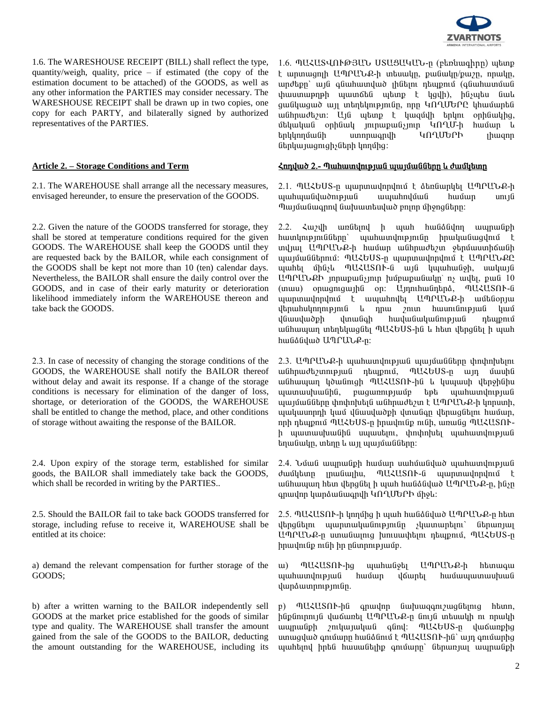

1.6. The WARESHOUSE RECEIPT (BILL) shall reflect the type, quantity/weigh, quality, price – if estimated (the copy of the estimation document to be attached) of the GOODS, as well as any other information the PARTIES may consider necessary. The WARESHOUSE RECEIPT shall be drawn up in two copies, one copy for each PARTY, and bilaterally signed by authorized representatives of the PARTIES.

2.1. The WAREHOUSE shall arrange all the necessary measures, envisaged hereunder, to ensure the preservation of the GOODS.

2.2. Given the nature of the GOODS transferred for storage, they shall be stored at temperature conditions required for the given GOODS. The WAREHOUSE shall keep the GOODS until they are requested back by the BAILOR, while each consignment of the GOODS shall be kept not more than 10 (ten) calendar days. Nevertheless, the BAILOR shall ensure the daily control over the GOODS, and in case of their early maturity or deterioration likelihood immediately inform the WAREHOUSE thereon and take back the GOODS.

2.3. In case of necessity of changing the storage conditions of the GOODS, the WAREHOUSE shall notify the BAILOR thereof without delay and await its response. If a change of the storage conditions is necessary for elimination of the danger of loss, shortage, or deterioration of the GOODS, the WAREHOUSE shall be entitled to change the method, place, and other conditions of storage without awaiting the response of the BAILOR.

2.4. Upon expiry of the storage term, established for similar goods, the BAILOR shall immediately take back the GOODS, which shall be recorded in writing by the PARTIES..

2.5. Should the BAILOR fail to take back GOODS transferred for storage, including refuse to receive it, WAREHOUSE shall be entitled at its choice:

a) demand the relevant compensation for further storage of the GOODS;

b) after a written warning to the BAILOR independently sell GOODS at the market price established for the goods of similar type and quality. The WAREHOUSE shall transfer the amount gained from the sale of the GOODS to the BAILOR, deducting the amount outstanding for the WAREHOUSE, including its

1.6. ՊԱՀԱՏՎՈՒԹՅԱՆ USԱՑԱԿԱՆ-ը (բեռնագիրը) պետք t wnunwgnih UՊՐԱՆՔ-ի intuwulin, pwawulin/pwzn, nnwulin, undtpp` un quuhuundud ihutin ntupni (quuhuunuu  $\psi$ փաստաթղթի պատճեն պետք է կցվի), ինչպես նաև  $g$ անկացած այլ տեղեկությունը, որը ԿՈՂՄԵՐԸ կհամարեն wûhnwdtyn: Ujú wtunp t ywquyh tinyni onhuwyhq, մեկական օրինակ յուրաքանչյուր ԿՈՂՄ-ի համար և tinyumum tangkalah kang temperasa temperasa kemangkan di pada tanggal temperasa kemangkan kemangkan kemangkan ներկայացուցիչների կողմից:

### Article 2. – Storage Conditions and Term <u> $\frac{\lambda n}{\lambda}$ <sup>2</sup>.- Պահատվության պայմանները և ժամկետը</u>

2.1. ՊԱՀԵՍՏ-ը պարտավորվում է ձեռնարկել ԱՊՐԱՆՔ-ի ajaha) wundung alah yahayidi ahadan ang ung Պայմանագրով նախատեսված բոլոր միջոցները։

2.2.  $\zeta$  ungitumed h und hubé duan payantahan hատկությունները` պահատվությունը իրականացվում է uuluu UMPULP-h huu uu uu huudtaa ytnuunhauuh պայմաններում: ՊԱՀԵՍՏ-ը պարտավորվում է ԱՊՐԱՆՔԸ ujuhti uhaylı MUZUSAN-a uija yujuhulayh, uwyuja UՊՐԱՆՔԻ յորաքանչյուր խմբաքանակը՝ ոչ ավել, քան 10 (inuu) onuignigui hû on: Umnhuintha, nUZUSAN-G ujunuuuuuunuu kunduunuuunuuunuuunuuunuu kunduudeen ayaana kunduudeen ayaana uurinta yahaan uu badaan ing yahu kilon bulan yang dikenalih yang dikenalih yang berafta yang dikenali yang dikenali kan dikenali diken<br>Indonesia d i diwahangah hung kalikahan pulis dialaman անհապաղ տեղեկացնել ՊԱՀԵUS-ին և hետ վերցնել ի պահ hwնձնված ԱՊՐԱՆՔ-ը:

 $2.3.$  UՊՐԱՆՔ-ի պահատվության պայմանները փոփոխելու uu ihnuu dayunn puu in huypnu, mukto US-n un uuuhu w Ghuuyun yowangh MUZUSAN-ha l yuyuuh yapohahu www.wuhuuGhG, pwqwnnppwup bpb wwhwundnppwG  $u$ այմանները փոփոխելն անհրաժեշտ է ԱՊՐԱՆՔ-ի կորստի, ujuuannah yuu yuuyudah yunugan yunugutan huuwan, nph դեպքում ՊԱՀԵՍՏ-ը իրավունք ունի, առանց ՊԱՀԱՏՈՒի պատասխանին սպասելու, փոփոխել պահատվության  $b$ եղանակը, տեղը և այլ պայմանները։

2.4. Uutu wunuu iph huutun uuhuuututu wuhuunun puu dwutuan mwuman, MUZUSAN-G www.mwunandnu անհապաղ հետ վերցնել ի պահ հանձնված ԱՊՐԱՆՔ-ը, ինչը  $q$ րավոր կարձանագրվի ԿՈՂՄԵՐԻ միջև:

 $2.5.$  ՊԱՀԱՏՈՒ-ի կողմից ի պահ հանձնված ԱՊՐԱՆՔ-ը հետ dtng ütnin undung kanalan kunan kung dina dina kung dina kung dina kunggalan dina kunggalan dina kunggalan din UՊՐԱՆՔ-ը ստանալուց խուսափելու դեպքում, ՊԱՀԵՍՏ-ը իրավունք ունի իր ընտրությամբ.

u) ՊԱՀԱՏՈՒ-ից պահանջել ԱՊՐԱՆՔ-ի հետագա ujuhuunlnipjul huutun lotunti huutuujuunuutuut dwnawnnipjniun.

p) ՊԱՀԱՏՈՒ-ին գրավոր նախազգուշացնելուց hետո, ինքնուրույն վաճառել ԱՊՐԱՆՔ-ը նույն տեսակի ու որակի www.tiphilong.com in the wave found to much a much a much a much a much a much a much a much a much a much a mu unuqquuð qnuunn huuddunu t 9UZUSON-hu' um qnuunhq  $u$ անելով իրեն հասանելիք գումարը՝ ներառյալ ապրանքի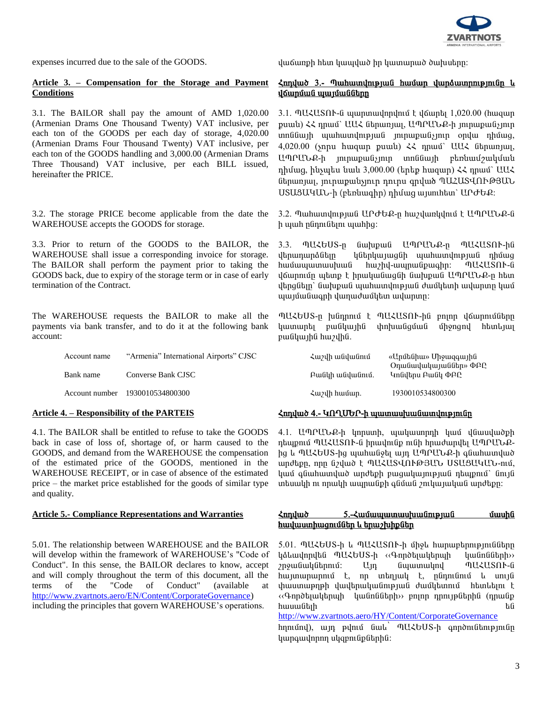

### **Article 3. – Compensation for the Storage and Payment Conditions**

3.1. The BAILOR shall pay the amount of AMD 1,020.00 (Armenian Drams One Thousand Twenty) VAT inclusive, per each ton of the GOODS per each day of storage, 4,020.00 (Armenian Drams Four Thousand Twenty) VAT inclusive, per each ton of the GOODS handling and 3,000.00 (Armenian Drams Three Thousand) VAT inclusive, per each BILL issued, hereinafter the PRICE.

3.2. The storage PRICE become applicable from the date the WAREHOUSE accepts the GOODS for storage.

3.3. Prior to return of the GOODS to the BAILOR, the WAREHOUSE shall issue a corresponding invoice for storage. The BAILOR shall perform the payment prior to taking the GOODS back, due to expiry of the storage term or in case of early termination of the Contract.

The WAREHOUSE requests the BAILOR to make all the payments via bank transfer, and to do it at the following bank account:

| Account name | "Armenia" International Airports" CJSC |
|--------------|----------------------------------------|
| Bank name    | Converse Bank CJSC                     |
|              | Account number 1930010534800300        |

4.1. The BAILOR shall be entitled to refuse to take the GOODS back in case of loss of, shortage of, or harm caused to the GOODS, and demand from the WAREHOUSE the compensation of the estimated price of the GOODS, mentioned in the WAREHOUSE RECEIPT, or in case of absence of the estimated price – the market price established for the goods of similar type and quality.

5.01. The relationship between WAREHOUSE and the BAILOR will develop within the framework of WAREHOUSE's "Code of Conduct". In this sense, the BAILOR declares to know, accept and will comply throughout the term of this document, all the terms of the "Code of Conduct" (available at http://www.zvartnots.aero/EN/Content/CorporateGovernance) including the principles that govern WAREHOUSE's operations.

expenses incurred due to the sale of the GOODS.  $\mu$  ψιαδίας θαλλού θα με το προϊόντα της επιλεύτασης επιλεύτασης επιλεύτασης επιλεύτασης του επιλεύτασης του επιλεύτασης εναιδικής εναιδικής εναιδικής εναιδικής εναιδικής ε

### $\zeta$ ոդված 3.- Պահատվության համար վարձատրությունը և <u>վճարման պայմանները</u>

 $3.1.$  MU $\zeta$ US $\Omega$ I · G waqua uququqlaqian kuquqdan  $1,020.00$  (hwquq puան)  $\zeta\zeta$  դրամ` UU $\zeta$  ներառյալ, UՊՐՄՆՔ-ի յուրաքանչյուր undidiu ih ujuhuundni piud ini nupula jihin opidu nhuug,  $4,020.00$  (ynpu hwqwp puwu)  $\langle \xi \rangle$  npwu UU $\zeta$  utpwnywe ԱՊՐԱՆՔ-ի յուրաքանչյուր տոննայի բեռնամշակման դիմաց, ինչպես նաև 3,000.00 (երեք հազար)  $\zeta \zeta$  դրամ` UU $\zeta$ ներառյալ, յուրաքանչյուր դուրս գրված ՊԱՀԱՏՎՈՒԹՅԱՆ  $USUSU$ Կ $U$ -ի (բեռնագիր) դիմաց այսուհետ`  $UP$ ԺԵՔ:

3.2. Պահատվության UՐԺԵՔ-ը հաշվառկվում է UՊՐԱՆՔ-ն h պահ ընդունելու պահից:

3.3. ՊԱՀԵՍՏ-ր նախքան ԱՊՐԱՆՔ-ր ՊԱՀԱՏՈՒ-ին dtnununð Gtin lýðtnuunug an undnundni þjuð nhú ug ѳٳå³ï³ëË³Ý Ñ³ßÇí-³åñ³Ýù³·Çñ: ä²Ð²îàô-Ý վճարումը պետք է իրականացնի նախքան ԱՊՐԱՆՔ-ը հետ վերցնելը` նախքան պահատվության ժամկետի ավարտը կամ  $u$ պայմանագրի վաղաժամկետ ավարտը։

**MUZGUS-ը խնդրում է MUZUSՈՒ-ին բոյոր վճարումները** կատարել բանկային փոխանցման միջոցով հետևյալ pwGywjhG hwzyhG.

| Հաշվի անվանում  | «Արմենիա» Միջազգային<br>Onwu uluu uu uu uu uu DAQ |
|-----------------|---------------------------------------------------|
| Բանկի անվանում. | Կոնվերս Բանկ ՓԲԸ                                  |
| Հաշվի համար.    | 1930010534800300                                  |

### Article 4. – Responsibility of the PARTEIS *Δ***myluo 4.- 40 (Φερλίου - Δαρί**αδα) *Δmyluo 4.- 40 (Φερλίου - Δαρία***)**

4.1. UՊՐԱՆՔ-ի կորստի, պակասորդի կամ վնասվածքի ntupnu ՊԱՀԱՏՈՒ-ն hnuulnuup nuuh hnuudunuu UՊՐԱՆՔից և ՊԱՀԵՍՏ-ից պահանջել այդ ԱՊՐԱՆՔ-ի գնահատված undtpn, nnn նշված է ՊԱՀԱՏՎՈՒԹՅԱՆ USUՑԱԿԱՆ-ում, կամ գնահատված արժեքի բացակայության դեպքում` նույն ubuulyh ni npulyh wupuliph qlivuli zniluyulululi updtipp:

### **Article 5.-** Compliance Representations and Warranties  $\lambda$ mιλιμό 5.- $\lambda$ μιδιμιμιμιμιμιμιμια διαθείδα της διαλικής <u>hավաստիացումներ և երաշխիքներ</u>

5.01. MUZGUS-h u MUZUSNI-h unglu hunuuptamipiniuutan lainuunnulta MUZbUS-h ‹‹ Annot uultuun luunaatah> zn9wGwyGtpmu3: Un Gwwnwyny MUZUSAN-G ѳÛï³ñ³ñáõÙ ¿, áñ ï»ÕÛ³Ï ¿, ÁݹáõÝáõÙ ¨ ëáõÛÝ  $\n$ փաստաթղթի վավերականության ժամկետում հետևելու է ‹‹Գործելակերպի կանոնների›› բոլոր դրույթներին (դրանք  $h$ ասանելի են

<http://www.zvartnots.aero/HY/Content/CorporateGovernance>

hnnund), un punu Gull nuktous-h annonlutnipinun կարգավորող սկզբունքներին: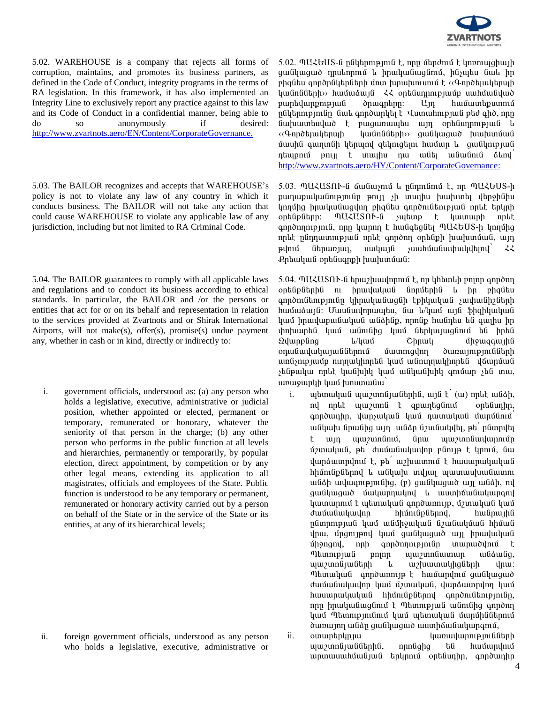

5.02. WAREHOUSE is a company that rejects all forms of corruption, maintains, and promotes its business partners, as defined in the Code of Conduct, integrity programs in the terms of RA legislation. In this framework, it has also implemented an Integrity Line to exclusively report any practice against to this law and its Code of Conduct in a confidential manner, being able to do so anonymously if desired: do so anonymously if http://www.zvartnots.aero/EN/Content/CorporateGovernance.

5.03. The BAILOR recognizes and accepts that WAREHOUSE's policy is not to violate any law of any country in which it conducts business. The BAILOR will not take any action that could cause WAREHOUSE to violate any applicable law of any jurisdiction, including but not limited to RA Criminal Code.

5.04. The BAILOR guarantees to comply with all applicable laws and regulations and to conduct its business according to ethical standards. In particular, the BAILOR and /or the persons or entities that act for or on its behalf and representation in relation to the services provided at Zvartnots and or Shirak International Airports, will not make(s), offer(s), promise(s) undue payment any, whether in cash or in kind, directly or indirectly to:

i. government officials, understood as: (a) any person who holds a legislative, executive, administrative or judicial position, whether appointed or elected, permanent or temporary, remunerated or honorary, whatever the seniority of that person in the charge; (b) any other person who performs in the public function at all levels and hierarchies, permanently or temporarily, by popular election, direct appointment, by competition or by any other legal means, extending its application to all magistrates, officials and employees of the State. Public function is understood to be any temporary or permanent, remunerated or honorary activity carried out by a person on behalf of the State or in the service of the State or its entities, at any of its hierarchical levels;

ii. foreign government officials, understood as any person who holds a legislative, executive, administrative or  $5.02$ . MU $\&$ bUS- $6$  n $6$ l $b$ hnu $p$ m $6$   $t$ , nnn  $6$ thoðn $t$   $t$  lmnnuughwih gw Gywgwd n nu ann nu la hnu yw Gwydan Chilian Gul hn phqutu գործընկերների մոտ խրախուսում է ‹‹Գործելակերպի luu GnGGbph>> huu uduu duja << optGunpmpjuu puu uu huu Gulud pարեվարքության ծրագրերը։ Այդ համատեքստում ընկերությունը նաև գործարկել է Վստահության թեժ գիծ, որը Gwhuwntuywd t pwgwnwytu win ontGunnnipjwG L «Գործելակերպի կանոնների» ցանկացած խախտման մասին գաղտնի կերպով զեկուցելու համար և ցանկության  $n$ եպքում թույլ է տալիս դա անել անանուն ձեով [http://www.zvartnots.aero/HY/Content/CorporateGovernance:](http://www.zvartnots.aero/HY/Content/CorporateGovernance)

5.03. ՊԱՀԱՏՈՒ-ն ճանաչում և ընդունում է, որ ՊԱՀԵՍՏ-ի punupuyuu un pindin phin sh unu hu huu hunti duphuhu lրորմից իրականացվող բիզնես գործունեության որևէ երկրի ontaupathan: MUZUSAN-a yutunp t yuununh nnut qnnðnnnupjnia, nnn hunnn t hudqtgati nU2bUS-h hnnung nplit pünnuunnipjul nplit qnpðnn optiuph huuhunuul, wjn  $\mathbf{p}$ վում ներառյալ, սակայն չսահմանափակվելով՝  $\zeta\zeta$ £րեական օրենսգրքի խախտման:

 $5.04.$  MUZUS $\Omega$ I be bayan ku ku kanalah pada pada ang pandang ang panang ang manang nagang nagang nagang nagang ang panang ang pandang sa Pauza manang ang manang sa Pauza manang ang manang sa Pauza manang sa Pauza manan ontնpներին ու իրավական նորմերին և իր բիզնես annon Ganpin Ghaulun and the bhuuluu suunu Ghadhah hամաձայն: Մասնավորապես, նա և/կամ այն ֆիզիկական կամ իրավաբանական անձինք, որոնք հանդես են գալիս իր փոխարեն կամ անունից կամ ներկայացնում են իրեն 2 yunpung in/yun Chnuy uhowqquin onwu ulu ulu ku biya biyan dunan dunan biya biyatlarda biyatlarda biya biyatlarda karda ku ku ku ku ku ku ku k unasmpuun mpuulphpta yuu wannpuyphpta yaupuua  $y$ ենթակա որևէ կանխիկ կամ անկանխիկ գումար  $y$ են տա, unungunuh yung hunungun

- i. å»ï³Ï³Ý å³ßïáÝ۳ݻñÇÝ, ³ÛÝ ¿՝ (³) áñ¨¿ ³ÝÓÇ, nվ npl.k պաշտոն է զբաղեցնում optնադիր, annðuinhn, yunsuyulu yun nuunuyul uunugunu անկախ նրանից այդ անձր նշանակվել, թե<sup>՛</sup> ընտրվել է այդ պաշտոնում, նրա պաշտոնավարումը մշտական, թե<sup>՛</sup> ժամանակավոր բնույթ է կրում, նա dunaunnunu t, pt w/huunnu t huuunuuuuuuu hիմունքներով և անկախ տվյալ պատասխանատու  $u$ նձի ավագությունից, (p) զանկացած այլ անձի, ով ցանկացած մակարդակով և աստիճանակարգով կատարում է պետական գործառույթ, մշտական կամ dwu Gwyligh duwww.hhuning.html hading hading hading hading hading hading hading hading hading hading hading ha pümpnipjul yuu wüupyuyul üzuluyuul hhuul վրա, մրցույթով կամ ցանկացած այլ իրավական ungan in annonne annon din annung t Tatan ilayan kuman hangga manggalan diakan karatan di karangan di karatan di karangan di karatan di karatan di www.muliumatiph le wighwww.higitiph you: Պետական գործառույթ է hամարվում ցանկացած ժամանակավոր կամ մշտական, վարձատրվող կամ hwww.pwywywG hhundputpny qnpontutntpintun, nn hnuluu Guqunu t Tunni puu u Gini Ghq qnndnn կամ Պետությունում կամ պետական մարմիններում dunun mulian guliyugud uunhauliuyungnu,
- ii. oununtinu ii. bununtinu hunungun bahar bilang dikenali dikenali dikenali dikenali dikenali dikenali dikena www.mngiwGGtnhG, nnnGqhq tG hwwwnynt unmuuununuun un bahan baharan bahadan barangan bahadan bahadan bahadan bahadan bahadan bahadan bahadan bahadan

4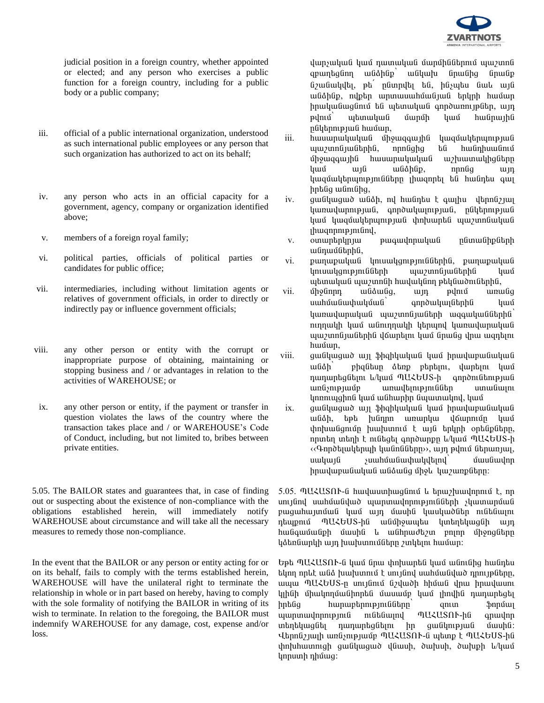

judicial position in a foreign country, whether appointed or elected; and any person who exercises a public function for a foreign country, including for a public body or a public company;

- iii. official of a public international organization, understood as such international public employees or any person that such organization has authorized to act on its behalf;
- iv. any person who acts in an official capacity for a government, agency, company or organization identified above;
- v. members of a foreign royal family;
- vi. political parties, officials of political parties or candidates for public office;
- vii. intermediaries, including without limitation agents or relatives of government officials, in order to directly or indirectly pay or influence government officials;
- viii. any other person or entity with the corrupt or inappropriate purpose of obtaining, maintaining or stopping business and / or advantages in relation to the activities of WAREHOUSE; or
- ix. any other person or entity, if the payment or transfer in question violates the laws of the country where the transaction takes place and / or WAREHOUSE's Code of Conduct, including, but not limited to, bribes between private entities.

5.05. The BAILOR states and guarantees that, in case of finding out or suspecting about the existence of non-compliance with the obligations established herein, will immediately notify WAREHOUSE about circumstance and will take all the necessary measures to remedy those non-compliance.

In the event that the BAILOR or any person or entity acting for or on its behalf, fails to comply with the terms established herein, WAREHOUSE will have the unilateral right to terminate the relationship in whole or in part based on hereby, having to comply with the sole formality of notifying the BAILOR in writing of its wish to terminate. In relation to the foregoing, the BAILOR must indemnify WAREHOUSE for any damage, cost, expense and/or loss.

վարչական կամ դատական մարմիններում պաշտոն qpwnbgնnn wնծինք՝ wնկախ նրանից նրանք  $6$ շանակվել, թե $^{'}$  ընտրվել են, ինչպես նաև այն w Gáhlip, ny bh un mun un hun an tingh hun mun n իրականացնում են պետական գործառույթներ, այդ pılnı û yakın yulû û yan bili hu ûn bilindin püytpnip jud huuun,

- iii. hwuwnwywywG unowqqwyha ywquwytnynyaya uzunnu ju Ganhu, annu qha bu hunghu mundi ÙÇç³½·³ÛÇÝ Ñ³ë³ñ³Ï³Ï³Ý ³ß˳ï³ÏÇóÝ»ñÁ  $\[\text{u} \mathbf{u} \mathbf{0} \quad \text{u} \mathbf{u} \mathbf{0} \quad \text{u} \mathbf{u} \mathbf{0} \quad \text{u} \mathbf{u} \mathbf{0} \quad \text{u} \mathbf{u} \mathbf{0} \]$ կազմակերպությունները լիազորել են հանդես գալ hntug wunung,
- iv. qua uququo uqidh, ng huqintu t quqhu qthnu quq  $l$ կառավարության, գործակալության, ընկերության կամ կազմակերպության փոխարեն պաշտոնական  $l$ hwqnpntpjntund,
- v. oununtinyniu puiguiynnuyuli nümulihplitinh wGnwuGtnhG,
- vi. punupuluua ynuulgnipinaatha, punupuluua lmuwlgnipini Gütinh undi hungi kungi kung udunuluu uyunnuh huululun ptyuwonlutphu,
- vii. ûholinnn wlidwlig, win pylniu wnwlig uաhմանափակման՝ գործակայներին կամ կառավարական պաշտոնյաների ազգականներին<sup>`</sup> nւղղակի կամ անուղղակի կերպով կառավարական ujuyunu juu il philipha yaun kun il quu il quu qua quan ayan da yang kara ayan da kara da kara da ka hwuun,
- viii. gw Gywydwr yn Shqhlywyw yw hnwywpw Gwy wնձի<sup>՝</sup> բիզնեսը ձեռք բերելու, վարելու կամ nununta ühn l/yuu nuktus-h annon utmanud una) ung ang pandahan sahah anakana tahun կոռուպցիոն կամ անհարիր նպատակով, կամ
- ix. ó³Ýϳó³Í ³ÛÉ ýǽÇÏ³Ï³Ý Ï³Ù Çñ³í³µ³Ý³Ï³Ý wնձի, եթե խնդրո առարկա վճարումը կամ thnhuu Gqnun huu hunnu tung tahun bahadan bahadan. nրտեղ տեղի է ունեցել գործարքը և/կամ ՊԱՀԵՍՏ-ի «Գործելակերպի կանոնները», այդ թվում ներառյալ, ë³Ï³ÛÝ ãë³Ñٳݳ÷³Ïí»Éáí՝ Ù³ëݳíáñ hnuuluupuu Guliduu Guliduu dari ku yunputann:

 $5.05.$  MUZUSNN-G huuluuunhuuqumu lu tipuu puulinnuu t, np en jun jun kunda kana biyan bir bir an bir dan bir dan bir dan bir dan bir dan bir dan bir dan bir d pացահայտման կամ այդ մասին կասկածներ ունենալու դեպքում ՊԱՀԵUS-ին անմիջապես կտեղեկացնի այդ hանգամանքի մասին և անհրաժեշտ բոլոր միջոցները կձեռնարկի այդ խախտումները շտկելու համար:

 $F$ Եթե ՊԱՀԱՏՈՒ-ն կամ նրա փոխարեն կամ անունից հանդես tynn npl t w G huwhunnu t un jund uwhuwu yan nph je un p www MUZGUS-ը սույնում նշվածի հիման վրա իրավասու կյինի միակողմանիորեն մասամբ կամ յիովին դադարեցել իրենց հարաբերությունները՝ զուտ ֆորմալ<br>աաոտավողություն ունենայով ՊԱՀԱՏՈՒ-ին գրավոր ujununuunnunpinia niataunin MUZUSAN-ha qnuunn ï»Õ»Ï³óÝ»É ¹³¹³ñ»óÝ»Éáõ Çñ ó³ÝÏáõÃÛ³Ý Ù³ëÇÝ: Վերոնշյայի առնչությամբ ՊԱՀԱՏՈՒ-ն պետք է ՊԱՀԵՍՏ-ին փոխիատուցի ցանկացած վնասի, ծախսի, ծախքի և/կամ linnuunh nhutuiq: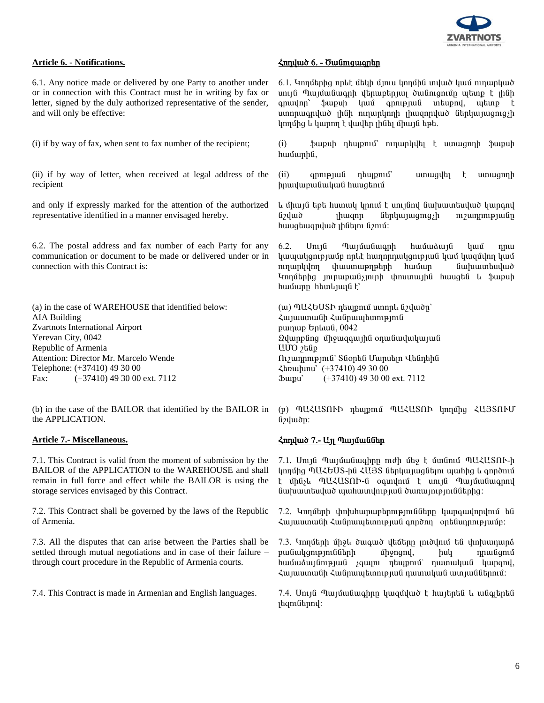

6.1. Any notice made or delivered by one Party to another under or in connection with this Contract must be in writing by fax or letter, signed by the duly authorized representative of the sender, and will only be effective:

(i) if by way of fax, when sent to fax number of the recipient;

(ii) if by way of letter, when received at legal address of the recipient

and only if expressly marked for the attention of the authorized representative identified in a manner envisaged hereby.

6.2. The postal address and fax number of each Party for any communication or document to be made or delivered under or in connection with this Contract is:

(a) in the case of WAREHOUSE that identified below: AIA Building Zvartnots International Airport Yerevan City, 0042 Republic of Armenia Attention: Director Mr. Marcelo Wende Telephone: (+37410) 49 30 00 Fax: (+37410) 49 30 00 ext. 7112

(b) in the case of the BAILOR that identified by the BAILOR in the APPLICATION.

7.1. This Contract is valid from the moment of submission by the BAILOR of the APPLICATION to the WAREHOUSE and shall remain in full force and effect while the BAILOR is using the storage services envisaged by this Contract.

7.2. This Contract shall be governed by the laws of the Republic of Armenia.

7.3. All the disputes that can arise between the Parties shall be settled through mutual negotiations and in case of their failure – through court procedure in the Republic of Armenia courts.

### **Article 6. - Notifications.** Ðá¹í³Í 6. - ̳Ýáõó³·ñ»ñ

6.1. Unnut hag npht ut yniu ynnu ynnu in ywo yan ninwpywo unı jû Պայմանագրի վերաբերյալ ծանուցումը պետք է լինի qnwynn` \$wpuh ywu qnnipjwu intupny, wtinp t unnpwqnywð <sub>l</sub>hûh ninwnynnh i hwqnpywð útpywjwgnig;h կողմից և կարող է վավեր յինել միայն եթե.

(i) ֆաքսի դեպքում՝ ուղարկվել է ստացողի ֆաքսի hwuunhu,

(ii) qnntp judi ntupntu<sup>o</sup> unung untugh tunungnn hnwywpwaywa hwuqtmu

L միայն եթե humul կրում է unւյնnվ նախատեսված կարգով նշված <sub>1</sub>իազոր ներկայացուցչի ուշադրությանը hwuqtwqnywd phutin Gznui:

 $6.2.$  Unija Պաjuuniuqnh huu unin yuu npuu կապակցությամբ որևէ hաղորդակցության կամ կազմվող կամ nւղարկվող փաստաթղթերի համար նախատեսված Innut ing innupung inn hundurgha huugta u \$upuh hամարը hետևյալն է`

(w) ՊԱՀԵՍՏԻ դեպքում ստորև նշվածը` Հայաստանի Հանրապետություն punup bpluua, 0042  $Q$ վարթնոց միջազգային օդանավակայան UUO <sub>2</sub>hûp  $\Omega$ <sub>i</sub> zunnnı pin G`Süontu Umnutin Utunthu  $\lambda$ tinu hunu (+37410) 49 30 00  $\text{Jumpu}$   $(+37410)$  49 30 00 ext. 7112

(p) ՊԱՀԱՏՈՒԻ դեպքում ՊԱՀԱՏՈՒ կողմից ՀԱՅՏՈՒՄ նշվածը:

### **Article 7.-** Miscellaneous. **Discretive 3. And 2.** Miscellaneous. **And 2.** Miscellaneous.

7.1. Unija nujutu üye nich uto t unanu nUZUSAN-h linnung MUZGUS-hu ZUBS ütinlim juugutini ujunhig li annoniu t մինչև ՊԱՀԱՏՈՒ-ն օգտվում է սույն Պայմանագրով Gwhuuntuywò wwhwunyntpjwG dwnwintpjntGGtnhq:

7.2. Կողմերի փոխհարաբերությունները կարգավորվում են Հայաստանի Հանրապետության գործող օրենսդրությամբ։

7.3. Unnut ph up i duque ya data phot nu tu phuununa pwGwygnynnGGtph uppngny, huy npwGgnu hամաձայնության չգալու դեպքում՝ դատական կարգով, Հայաստանի Հանրապետության դատական ատյաններում:

7.4. This Contract is made in Armenian and English languages. 7.4. Unua Tuqu ümfür gündündür kulturaldı bu ümfür  $\mu$ aning harakteun kang harakteun kang harakteun kang harakteun kang harakteun kang harakteun kang atau kang a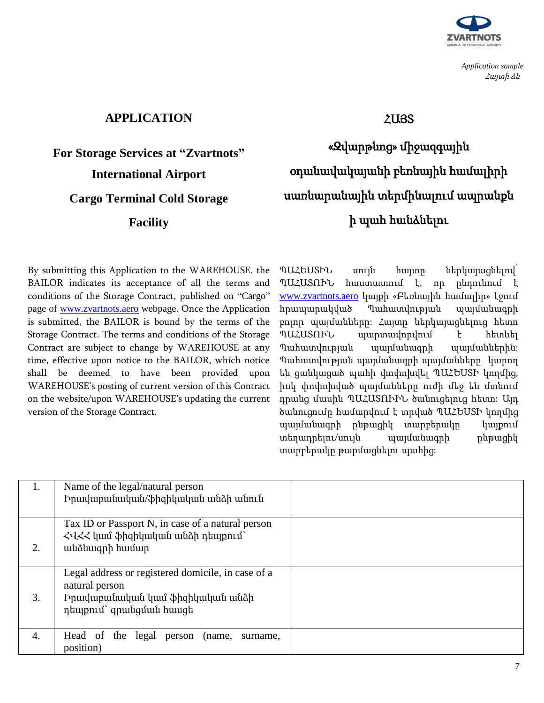

*Application sample*  Հայտի ձև

# **APPLICATION**

# **For Storage Services at "Zvartnots" International Airport Cargo Terminal Cold Storage**

**Facility**

ՀԱՅՏ

«Զվարթնոց» միջազգային օդանավակայանի բեռնային համալիրի սառնարանային տերմինալում ապրանքն ի պահ հանձնելու

By submitting this Application to the WAREHOUSE, the BAILOR indicates its acceptance of all the terms and conditions of the Storage Contract, published on "Cargo" page of [www.zvartnots.aero](http://www.zvartnots.aero/) webpage. Once the Application is submitted, the BAILOR is bound by the terms of the Storage Contract. The terms and conditions of the Storage Contract are subject to change by WAREHOUSE at any time, effective upon notice to the BAILOR, which notice shall be deemed to have been provided upon WAREHOUSE's posting of current version of this Contract on the website/upon WAREHOUSE's updating the current version of the Storage Contract.

ՊԱՀԵՍՏԻՆ սույն հայտը ներկայացնելով՝ ՊԱՀԱՏՈՒՆ հաստատում է, որ ընդունում է [www.zvartnots.aero](http://www.zvartnots.aero/) կայքի «Բեռնային համալիր» էջում հրապարակված Պահատվության պայմանագրի բոլոր պայմանները: Հայտը ներկայացնելուց հետո ՊԱՀԱՏՈՒՆ պարտավորվում է հետևել Պահատվության պայմանագրի պայմաններին: Պահատվության պայմանագրի պայմանները կարող են ցանկացած պահի փոփոխվել ՊԱՀԵՍՏԻ կողմից, իսկ փոփոխված պայմանները ուժի մեջ են մտնում դրանց մասին ՊԱՀԱՏՈՒԻՆ ծանուցելուց հետո: Այդ ծանուցումը համարվում է տրված ՊԱՀԵՍՏԻ կողմից պայմանագրի ընթացիկ տարբերակը կայքում տեղադրելու/սույն պայմանագրի ընթացիկ տարբերակը թարմացնելու պահից:

| 1. | Name of the legal/natural person<br>Իրավաբանական/ֆիզիկական անձի անուն                                                              |  |
|----|------------------------------------------------------------------------------------------------------------------------------------|--|
| 2. | Tax ID or Passport N, in case of a natural person<br>$\langle 1, 1 \rangle$ կամ ֆիզիկական անձի դեպքում՝<br>անձնագրի համար          |  |
| 3. | Legal address or registered domicile, in case of a<br>natural person<br>Իրավաբանական կամ ֆիզիկական անձի<br>դեպքում` գրանցման հասցե |  |
| 4. | Head of the legal<br>person<br>(name,<br>surname,<br>position)                                                                     |  |